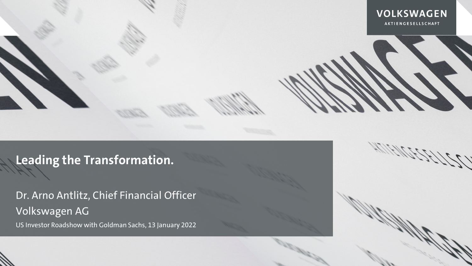

**Leading the Transformation.**

Dr. Arno Antlitz, Chief Financial Officer Volkswagen AG

US Investor Roadshow with Goldman Sachs, 13 January 2022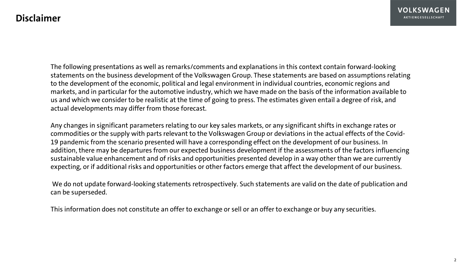The following presentations as well as remarks/comments and explanations in this context contain forward-looking statements on the business development of the Volkswagen Group. These statements are based on assumptions relating to the development of the economic, political and legal environment in individual countries, economic regions and markets, and in particular for the automotive industry, which we have made on the basis of the information available to us and which we consider to be realistic at the time of going to press. The estimates given entail a degree of risk, and actual developments may differ from those forecast.

Any changes in significant parameters relating to our key sales markets, or any significant shifts in exchange rates or commodities or the supply with parts relevant to the Volkswagen Group or deviations in the actual effects of the Covid-19 pandemic from the scenario presented will have a corresponding effect on the development of our business. In addition, there may be departures from our expected business development if the assessments of the factors influencing sustainable value enhancement and of risks and opportunities presented develop in a way other than we are currently expecting, or if additional risks and opportunities or other factors emerge that affect the development of our business.

We do not update forward-looking statements retrospectively. Such statements are valid on the date of publication and can be superseded.

This information does not constitute an offer to exchange or sell or an offer to exchange or buy any securities.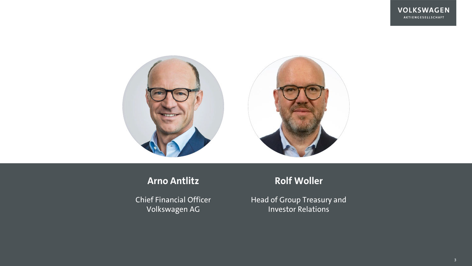

# **Arno Antlitz**

Chief Financial Officer Volkswagen AG

# **Rolf Woller**

Head of Group Treasury and Investor Relations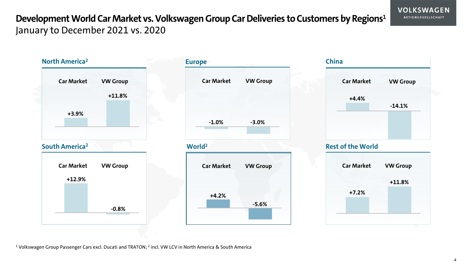# **Development World Car Market vs. Volkswagen Group Car Deliveries to Customers by Regions1** January to December 2021 vs. 2020

```
Car Market VW Group
  Car Market VW Group
                            Car Market VW Group
                            Car Market VW Group Car Market VW Group
                                                     Car Market VW Group
    +3.9%
            +11.8% +4.4%
                                                             -14.1%
                                                      +7.2%
    +11.8% +12.9%
            -0.8%
                             +4.2%
                                     -5.6%
                             -1.0% -3.0%
North America2
                         World2
                                                  China
South America2
                         Europe
                                                  Rest of the World
```
<sup>1</sup> Volkswagen Group Passenger Cars excl. Ducati and TRATON; <sup>2</sup> incl. VW LCV in North America & South America

**VOLKSWAGEN** AKTIENGESELLSCHAFT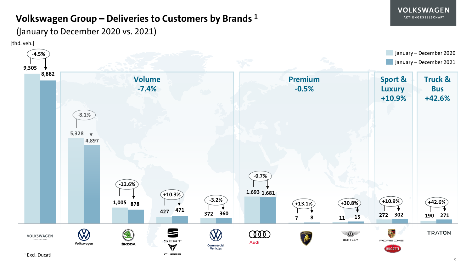### **Volkswagen Group – Deliveries to Customers by Brands 1**

[thd. veh.] (January to December 2020 vs. 2021)

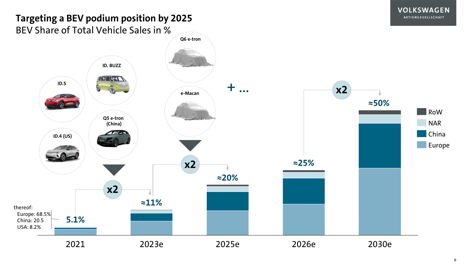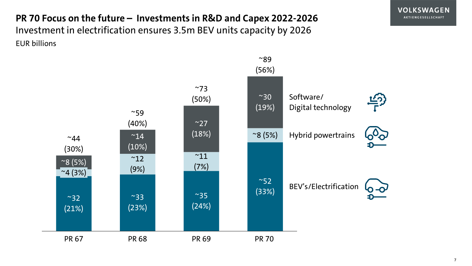**PR 70 Focus on the future – Investments in R&D and Capex 2022-2026** Investment in electrification ensures 3.5m BEV units capacity by 2026 EUR billions

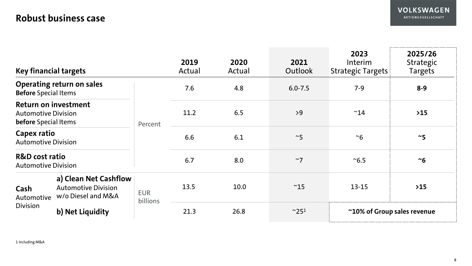# **Robust business case**

| <b>Key financial targets</b>                                                      |                                                                           |                        | 2019<br>Actual | 2020<br>Actual | 2021<br>Outlook            | 2023<br><b>Interim</b><br><b>Strategic Targets</b> | 2025/26<br>Strategic<br><b>Targets</b> |
|-----------------------------------------------------------------------------------|---------------------------------------------------------------------------|------------------------|----------------|----------------|----------------------------|----------------------------------------------------|----------------------------------------|
| <b>Operating return on sales</b><br><b>Before Special Items</b>                   |                                                                           | Percent                | 7.6            | 4.8            | $6.0 - 7.5$                | $7 - 9$                                            | $8 - 9$                                |
| <b>Return on investment</b><br><b>Automotive Division</b><br>before Special Items |                                                                           |                        | 11.2           | 6.5            | >9                         | $~^{\sim}$ 14                                      | $>15$                                  |
| Capex ratio<br><b>Automotive Division</b>                                         |                                                                           |                        | 6.6            | 6.1            | $~^{\sim}5$                | $~\sim 6$                                          | $~\sim$ 5                              |
| <b>R&amp;D</b> cost ratio<br><b>Automotive Division</b>                           |                                                                           |                        | 6.7            | 8.0            | $~\sim$ 7                  | $^{\sim}6.5$                                       | $~\sim$ 6                              |
| Cash<br>Automotive<br><b>Division</b>                                             | a) Clean Net Cashflow<br><b>Automotive Division</b><br>w/o Diesel and M&A | <b>EUR</b><br>billions | 13.5           | 10.0           | $~^{\sim}15$               | $13 - 15$                                          | $>15$                                  |
|                                                                                   | b) Net Liquidity                                                          |                        | 21.3           | 26.8           | $~^{\sim}$ 25 <sup>1</sup> | ~10% of Group sales revenue                        |                                        |

1 Including M&A